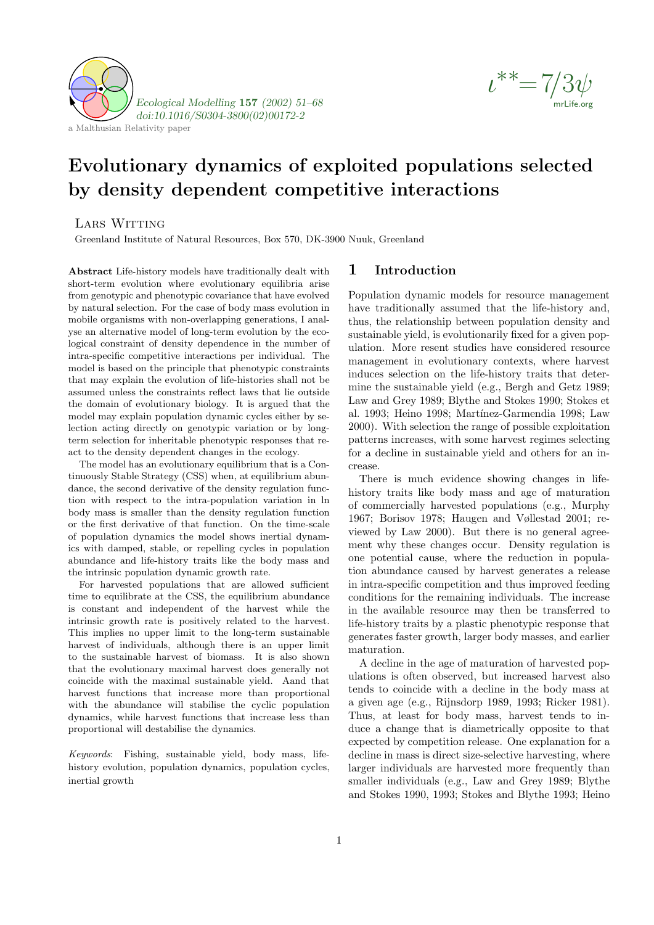



# Evolutionary dynamics of exploited populations selected by density dependent competitive interactions

## LARS WITTING

Greenland Institute of Natural Resources, Box 570, DK-3900 Nuuk, Greenland

Abstract Life-history models have traditionally dealt with short-term evolution where evolutionary equilibria arise from genotypic and phenotypic covariance that have evolved by natural selection. For the case of body mass evolution in mobile organisms with non-overlapping generations, I analyse an alternative model of long-term evolution by the ecological constraint of density dependence in the number of intra-specific competitive interactions per individual. The model is based on the principle that phenotypic constraints that may explain the evolution of life-histories shall not be assumed unless the constraints reflect laws that lie outside the domain of evolutionary biology. It is argued that the model may explain population dynamic cycles either by selection acting directly on genotypic variation or by longterm selection for inheritable phenotypic responses that react to the density dependent changes in the ecology.

The model has an evolutionary equilibrium that is a Continuously Stable Strategy (CSS) when, at equilibrium abundance, the second derivative of the density regulation function with respect to the intra-population variation in ln body mass is smaller than the density regulation function or the first derivative of that function. On the time-scale of population dynamics the model shows inertial dynamics with damped, stable, or repelling cycles in population abundance and life-history traits like the body mass and the intrinsic population dynamic growth rate.

For harvested populations that are allowed sufficient time to equilibrate at the CSS, the equilibrium abundance is constant and independent of the harvest while the intrinsic growth rate is positively related to the harvest. This implies no upper limit to the long-term sustainable harvest of individuals, although there is an upper limit to the sustainable harvest of biomass. It is also shown that the evolutionary maximal harvest does generally not coincide with the maximal sustainable yield. Aand that harvest functions that increase more than proportional with the abundance will stabilise the cyclic population dynamics, while harvest functions that increase less than proportional will destabilise the dynamics.

Keywords: Fishing, sustainable yield, body mass, lifehistory evolution, population dynamics, population cycles, inertial growth

### 1 Introduction

Population dynamic models for resource management have traditionally assumed that the life-history and, thus, the relationship between population density and sustainable yield, is evolutionarily fixed for a given population. More resent studies have considered resource management in evolutionary contexts, where harvest induces selection on the life-history traits that determine the sustainable yield (e.g., Bergh and Getz 1989; Law and Grey 1989; Blythe and Stokes 1990; Stokes et al. 1993; Heino 1998; Martínez-Garmendia 1998; Law 2000). With selection the range of possible exploitation patterns increases, with some harvest regimes selecting for a decline in sustainable yield and others for an increase.

There is much evidence showing changes in lifehistory traits like body mass and age of maturation of commercially harvested populations (e.g., Murphy 1967; Borisov 1978; Haugen and Vøllestad 2001; reviewed by Law 2000). But there is no general agreement why these changes occur. Density regulation is one potential cause, where the reduction in population abundance caused by harvest generates a release in intra-specific competition and thus improved feeding conditions for the remaining individuals. The increase in the available resource may then be transferred to life-history traits by a plastic phenotypic response that generates faster growth, larger body masses, and earlier maturation.

A decline in the age of maturation of harvested populations is often observed, but increased harvest also tends to coincide with a decline in the body mass at a given age (e.g., Rijnsdorp 1989, 1993; Ricker 1981). Thus, at least for body mass, harvest tends to induce a change that is diametrically opposite to that expected by competition release. One explanation for a decline in mass is direct size-selective harvesting, where larger individuals are harvested more frequently than smaller individuals (e.g., Law and Grey 1989; Blythe and Stokes 1990, 1993; Stokes and Blythe 1993; Heino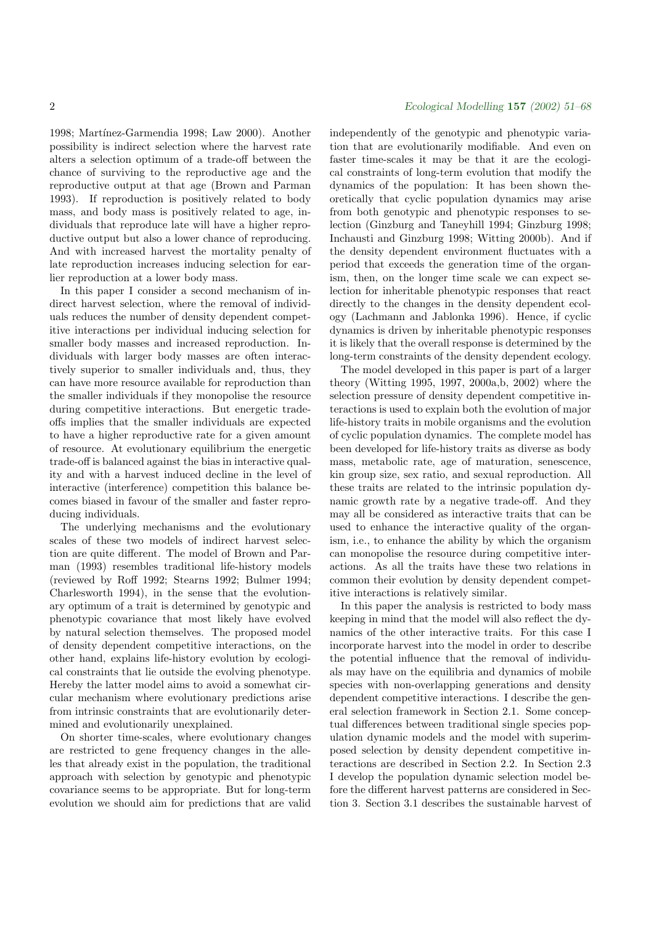1998; Martínez-Garmendia 1998; Law 2000). Another possibility is indirect selection where the harvest rate alters a selection optimum of a trade-off between the chance of surviving to the reproductive age and the reproductive output at that age (Brown and Parman 1993). If reproduction is positively related to body mass, and body mass is positively related to age, individuals that reproduce late will have a higher reproductive output but also a lower chance of reproducing. And with increased harvest the mortality penalty of late reproduction increases inducing selection for earlier reproduction at a lower body mass.

In this paper I consider a second mechanism of indirect harvest selection, where the removal of individuals reduces the number of density dependent competitive interactions per individual inducing selection for smaller body masses and increased reproduction. Individuals with larger body masses are often interactively superior to smaller individuals and, thus, they can have more resource available for reproduction than the smaller individuals if they monopolise the resource during competitive interactions. But energetic tradeoffs implies that the smaller individuals are expected to have a higher reproductive rate for a given amount of resource. At evolutionary equilibrium the energetic trade-off is balanced against the bias in interactive quality and with a harvest induced decline in the level of interactive (interference) competition this balance becomes biased in favour of the smaller and faster reproducing individuals.

The underlying mechanisms and the evolutionary scales of these two models of indirect harvest selection are quite different. The model of Brown and Parman (1993) resembles traditional life-history models (reviewed by Roff 1992; Stearns 1992; Bulmer 1994; Charlesworth 1994), in the sense that the evolutionary optimum of a trait is determined by genotypic and phenotypic covariance that most likely have evolved by natural selection themselves. The proposed model of density dependent competitive interactions, on the other hand, explains life-history evolution by ecological constraints that lie outside the evolving phenotype. Hereby the latter model aims to avoid a somewhat circular mechanism where evolutionary predictions arise from intrinsic constraints that are evolutionarily determined and evolutionarily unexplained.

On shorter time-scales, where evolutionary changes are restricted to gene frequency changes in the alleles that already exist in the population, the traditional approach with selection by genotypic and phenotypic covariance seems to be appropriate. But for long-term evolution we should aim for predictions that are valid

independently of the genotypic and phenotypic variation that are evolutionarily modifiable. And even on faster time-scales it may be that it are the ecological constraints of long-term evolution that modify the dynamics of the population: It has been shown theoretically that cyclic population dynamics may arise from both genotypic and phenotypic responses to selection (Ginzburg and Taneyhill 1994; Ginzburg 1998; Inchausti and Ginzburg 1998; Witting 2000b). And if the density dependent environment fluctuates with a period that exceeds the generation time of the organism, then, on the longer time scale we can expect selection for inheritable phenotypic responses that react directly to the changes in the density dependent ecology (Lachmann and Jablonka 1996). Hence, if cyclic dynamics is driven by inheritable phenotypic responses it is likely that the overall response is determined by the long-term constraints of the density dependent ecology.

The model developed in this paper is part of a larger theory (Witting 1995, 1997, 2000a,b, 2002) where the selection pressure of density dependent competitive interactions is used to explain both the evolution of major life-history traits in mobile organisms and the evolution of cyclic population dynamics. The complete model has been developed for life-history traits as diverse as body mass, metabolic rate, age of maturation, senescence, kin group size, sex ratio, and sexual reproduction. All these traits are related to the intrinsic population dynamic growth rate by a negative trade-off. And they may all be considered as interactive traits that can be used to enhance the interactive quality of the organism, i.e., to enhance the ability by which the organism can monopolise the resource during competitive interactions. As all the traits have these two relations in common their evolution by density dependent competitive interactions is relatively similar.

In this paper the analysis is restricted to body mass keeping in mind that the model will also reflect the dynamics of the other interactive traits. For this case I incorporate harvest into the model in order to describe the potential influence that the removal of individuals may have on the equilibria and dynamics of mobile species with non-overlapping generations and density dependent competitive interactions. I describe the general selection framework in Section 2.1. Some conceptual differences between traditional single species population dynamic models and the model with superimposed selection by density dependent competitive interactions are described in Section 2.2. In Section 2.3 I develop the population dynamic selection model before the different harvest patterns are considered in Section 3. Section 3.1 describes the sustainable harvest of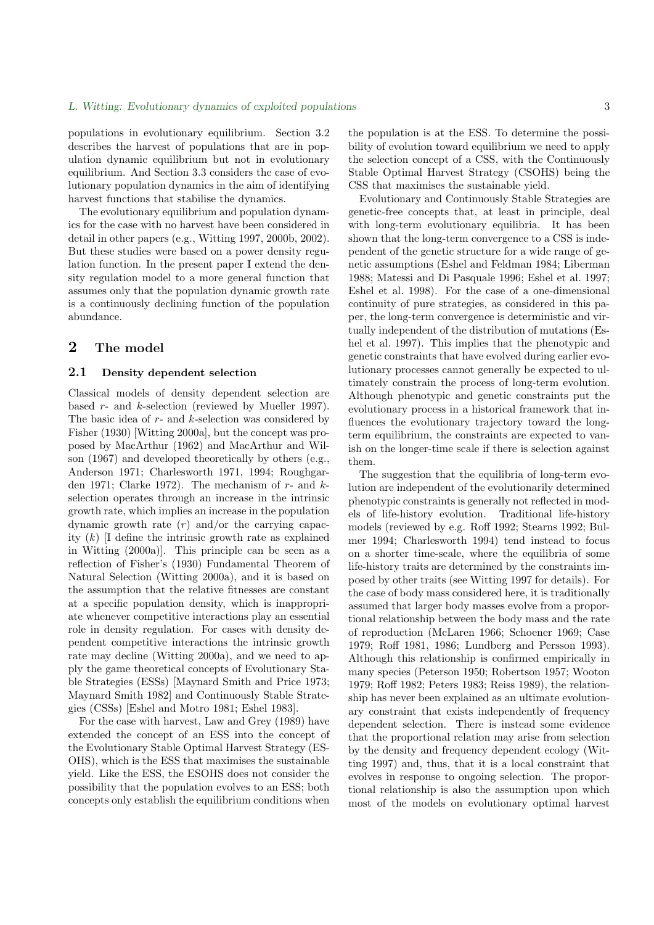populations in evolutionary equilibrium. Section 3.2 describes the harvest of populations that are in population dynamic equilibrium but not in evolutionary equilibrium. And Section 3.3 considers the case of evolutionary population dynamics in the aim of identifying harvest functions that stabilise the dynamics.

The evolutionary equilibrium and population dynamics for the case with no harvest have been considered in detail in other papers (e.g., Witting 1997, 2000b, 2002). But these studies were based on a power density regulation function. In the present paper I extend the density regulation model to a more general function that assumes only that the population dynamic growth rate is a continuously declining function of the population abundance.

# 2 The model

#### 2.1 Density dependent selection

Classical models of density dependent selection are based  $r$ - and  $k$ -selection (reviewed by Mueller 1997). The basic idea of  $r$ - and  $k$ -selection was considered by Fisher (1930) [Witting 2000a], but the concept was proposed by MacArthur (1962) and MacArthur and Wilson (1967) and developed theoretically by others (e.g., Anderson 1971; Charlesworth 1971, 1994; Roughgarden 1971; Clarke 1972). The mechanism of  $r$ - and  $k$ selection operates through an increase in the intrinsic growth rate, which implies an increase in the population dynamic growth rate  $(r)$  and/or the carrying capacity  $(k)$  [I define the intrinsic growth rate as explained in Witting (2000a)]. This principle can be seen as a reflection of Fisher's (1930) Fundamental Theorem of Natural Selection (Witting 2000a), and it is based on the assumption that the relative fitnesses are constant at a specific population density, which is inappropriate whenever competitive interactions play an essential role in density regulation. For cases with density dependent competitive interactions the intrinsic growth rate may decline (Witting 2000a), and we need to apply the game theoretical concepts of Evolutionary Stable Strategies (ESSs) [Maynard Smith and Price 1973; Maynard Smith 1982] and Continuously Stable Strategies (CSSs) [Eshel and Motro 1981; Eshel 1983].

For the case with harvest, Law and Grey (1989) have extended the concept of an ESS into the concept of the Evolutionary Stable Optimal Harvest Strategy (ES-OHS), which is the ESS that maximises the sustainable yield. Like the ESS, the ESOHS does not consider the possibility that the population evolves to an ESS; both concepts only establish the equilibrium conditions when

the population is at the ESS. To determine the possibility of evolution toward equilibrium we need to apply the selection concept of a CSS, with the Continuously Stable Optimal Harvest Strategy (CSOHS) being the CSS that maximises the sustainable yield.

Evolutionary and Continuously Stable Strategies are genetic-free concepts that, at least in principle, deal with long-term evolutionary equilibria. It has been shown that the long-term convergence to a CSS is independent of the genetic structure for a wide range of genetic assumptions (Eshel and Feldman 1984; Liberman 1988; Matessi and Di Pasquale 1996; Eshel et al. 1997; Eshel et al. 1998). For the case of a one-dimensional continuity of pure strategies, as considered in this paper, the long-term convergence is deterministic and virtually independent of the distribution of mutations (Eshel et al. 1997). This implies that the phenotypic and genetic constraints that have evolved during earlier evolutionary processes cannot generally be expected to ultimately constrain the process of long-term evolution. Although phenotypic and genetic constraints put the evolutionary process in a historical framework that influences the evolutionary trajectory toward the longterm equilibrium, the constraints are expected to vanish on the longer-time scale if there is selection against them.

The suggestion that the equilibria of long-term evolution are independent of the evolutionarily determined phenotypic constraints is generally not reflected in models of life-history evolution. Traditional life-history models (reviewed by e.g. Roff 1992; Stearns 1992; Bulmer 1994; Charlesworth 1994) tend instead to focus on a shorter time-scale, where the equilibria of some life-history traits are determined by the constraints imposed by other traits (see Witting 1997 for details). For the case of body mass considered here, it is traditionally assumed that larger body masses evolve from a proportional relationship between the body mass and the rate of reproduction (McLaren 1966; Schoener 1969; Case 1979; Roff 1981, 1986; Lundberg and Persson 1993). Although this relationship is confirmed empirically in many species (Peterson 1950; Robertson 1957; Wooton 1979; Roff 1982; Peters 1983; Reiss 1989), the relationship has never been explained as an ultimate evolutionary constraint that exists independently of frequency dependent selection. There is instead some evidence that the proportional relation may arise from selection by the density and frequency dependent ecology (Witting 1997) and, thus, that it is a local constraint that evolves in response to ongoing selection. The proportional relationship is also the assumption upon which most of the models on evolutionary optimal harvest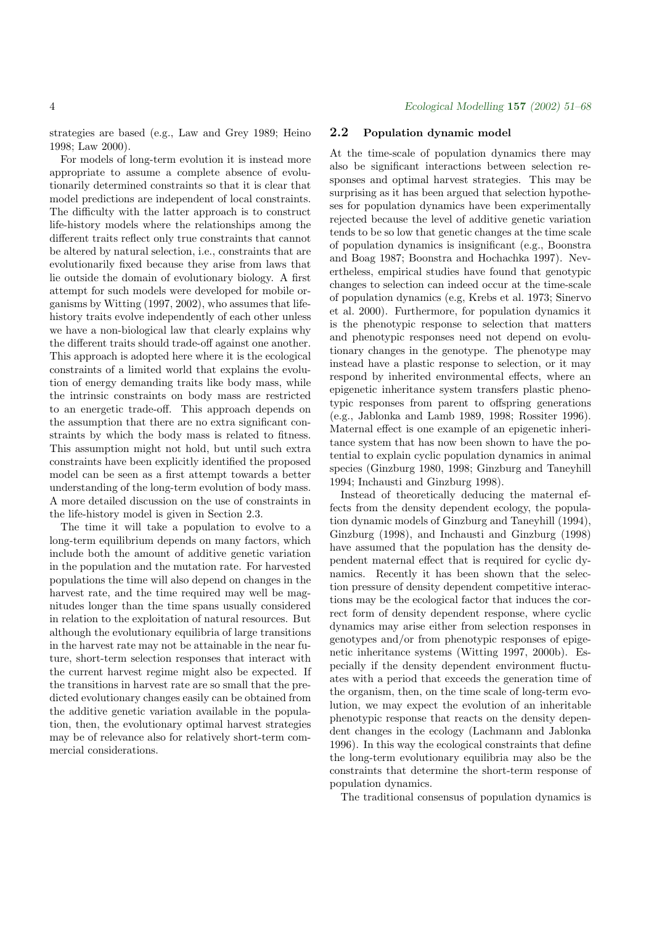strategies are based (e.g., Law and Grey 1989; Heino 1998; Law 2000).

For models of long-term evolution it is instead more appropriate to assume a complete absence of evolutionarily determined constraints so that it is clear that model predictions are independent of local constraints. The difficulty with the latter approach is to construct life-history models where the relationships among the different traits reflect only true constraints that cannot be altered by natural selection, i.e., constraints that are evolutionarily fixed because they arise from laws that lie outside the domain of evolutionary biology. A first attempt for such models were developed for mobile organisms by Witting (1997, 2002), who assumes that lifehistory traits evolve independently of each other unless we have a non-biological law that clearly explains why the different traits should trade-off against one another. This approach is adopted here where it is the ecological constraints of a limited world that explains the evolution of energy demanding traits like body mass, while the intrinsic constraints on body mass are restricted to an energetic trade-off. This approach depends on the assumption that there are no extra significant constraints by which the body mass is related to fitness. This assumption might not hold, but until such extra constraints have been explicitly identified the proposed model can be seen as a first attempt towards a better understanding of the long-term evolution of body mass. A more detailed discussion on the use of constraints in the life-history model is given in Section 2.3.

The time it will take a population to evolve to a long-term equilibrium depends on many factors, which include both the amount of additive genetic variation in the population and the mutation rate. For harvested populations the time will also depend on changes in the harvest rate, and the time required may well be magnitudes longer than the time spans usually considered in relation to the exploitation of natural resources. But although the evolutionary equilibria of large transitions in the harvest rate may not be attainable in the near future, short-term selection responses that interact with the current harvest regime might also be expected. If the transitions in harvest rate are so small that the predicted evolutionary changes easily can be obtained from the additive genetic variation available in the population, then, the evolutionary optimal harvest strategies may be of relevance also for relatively short-term commercial considerations.

#### 2.2 Population dynamic model

At the time-scale of population dynamics there may also be significant interactions between selection responses and optimal harvest strategies. This may be surprising as it has been argued that selection hypotheses for population dynamics have been experimentally rejected because the level of additive genetic variation tends to be so low that genetic changes at the time scale of population dynamics is insignificant (e.g., Boonstra and Boag 1987; Boonstra and Hochachka 1997). Nevertheless, empirical studies have found that genotypic changes to selection can indeed occur at the time-scale of population dynamics (e.g, Krebs et al. 1973; Sinervo et al. 2000). Furthermore, for population dynamics it is the phenotypic response to selection that matters and phenotypic responses need not depend on evolutionary changes in the genotype. The phenotype may instead have a plastic response to selection, or it may respond by inherited environmental effects, where an epigenetic inheritance system transfers plastic phenotypic responses from parent to offspring generations (e.g., Jablonka and Lamb 1989, 1998; Rossiter 1996). Maternal effect is one example of an epigenetic inheritance system that has now been shown to have the potential to explain cyclic population dynamics in animal species (Ginzburg 1980, 1998; Ginzburg and Taneyhill 1994; Inchausti and Ginzburg 1998).

Instead of theoretically deducing the maternal effects from the density dependent ecology, the population dynamic models of Ginzburg and Taneyhill (1994), Ginzburg (1998), and Inchausti and Ginzburg (1998) have assumed that the population has the density dependent maternal effect that is required for cyclic dynamics. Recently it has been shown that the selection pressure of density dependent competitive interactions may be the ecological factor that induces the correct form of density dependent response, where cyclic dynamics may arise either from selection responses in genotypes and/or from phenotypic responses of epigenetic inheritance systems (Witting 1997, 2000b). Especially if the density dependent environment fluctuates with a period that exceeds the generation time of the organism, then, on the time scale of long-term evolution, we may expect the evolution of an inheritable phenotypic response that reacts on the density dependent changes in the ecology (Lachmann and Jablonka 1996). In this way the ecological constraints that define the long-term evolutionary equilibria may also be the constraints that determine the short-term response of population dynamics.

The traditional consensus of population dynamics is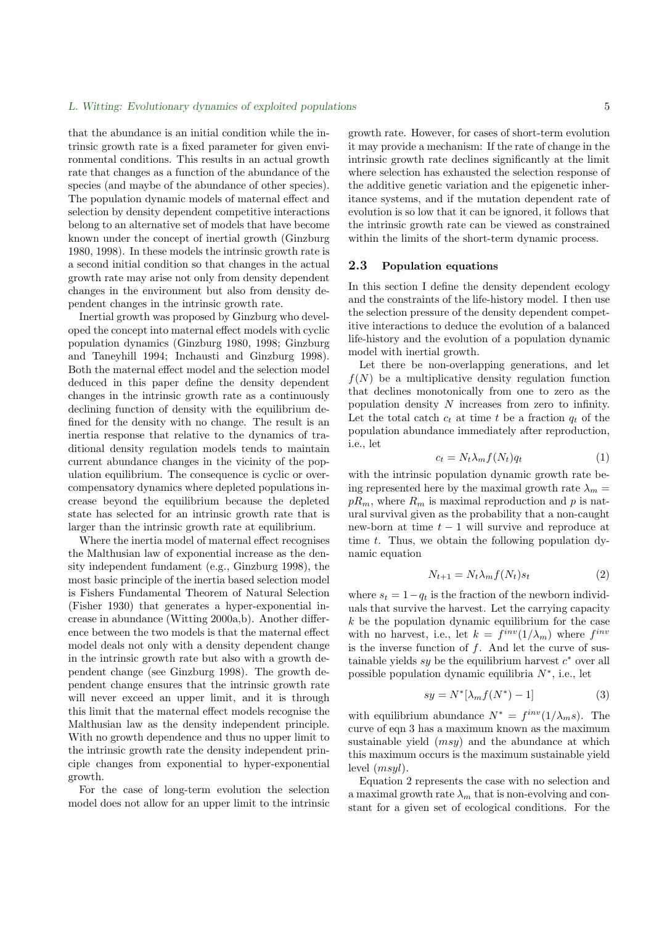that the abundance is an initial condition while the intrinsic growth rate is a fixed parameter for given environmental conditions. This results in an actual growth rate that changes as a function of the abundance of the species (and maybe of the abundance of other species). The population dynamic models of maternal effect and selection by density dependent competitive interactions belong to an alternative set of models that have become known under the concept of inertial growth (Ginzburg 1980, 1998). In these models the intrinsic growth rate is a second initial condition so that changes in the actual growth rate may arise not only from density dependent changes in the environment but also from density dependent changes in the intrinsic growth rate.

Inertial growth was proposed by Ginzburg who developed the concept into maternal effect models with cyclic population dynamics (Ginzburg 1980, 1998; Ginzburg and Taneyhill 1994; Inchausti and Ginzburg 1998). Both the maternal effect model and the selection model deduced in this paper define the density dependent changes in the intrinsic growth rate as a continuously declining function of density with the equilibrium defined for the density with no change. The result is an inertia response that relative to the dynamics of traditional density regulation models tends to maintain current abundance changes in the vicinity of the population equilibrium. The consequence is cyclic or overcompensatory dynamics where depleted populations increase beyond the equilibrium because the depleted state has selected for an intrinsic growth rate that is larger than the intrinsic growth rate at equilibrium.

Where the inertia model of maternal effect recognises the Malthusian law of exponential increase as the density independent fundament (e.g., Ginzburg 1998), the most basic principle of the inertia based selection model is Fishers Fundamental Theorem of Natural Selection (Fisher 1930) that generates a hyper-exponential increase in abundance (Witting 2000a,b). Another difference between the two models is that the maternal effect model deals not only with a density dependent change in the intrinsic growth rate but also with a growth dependent change (see Ginzburg 1998). The growth dependent change ensures that the intrinsic growth rate will never exceed an upper limit, and it is through this limit that the maternal effect models recognise the Malthusian law as the density independent principle. With no growth dependence and thus no upper limit to the intrinsic growth rate the density independent principle changes from exponential to hyper-exponential growth.

For the case of long-term evolution the selection model does not allow for an upper limit to the intrinsic growth rate. However, for cases of short-term evolution it may provide a mechanism: If the rate of change in the intrinsic growth rate declines significantly at the limit where selection has exhausted the selection response of the additive genetic variation and the epigenetic inheritance systems, and if the mutation dependent rate of evolution is so low that it can be ignored, it follows that the intrinsic growth rate can be viewed as constrained within the limits of the short-term dynamic process.

#### 2.3 Population equations

In this section I define the density dependent ecology and the constraints of the life-history model. I then use the selection pressure of the density dependent competitive interactions to deduce the evolution of a balanced life-history and the evolution of a population dynamic model with inertial growth.

Let there be non-overlapping generations, and let  $f(N)$  be a multiplicative density regulation function that declines monotonically from one to zero as the population density  $N$  increases from zero to infinity. Let the total catch  $c_t$  at time t be a fraction  $q_t$  of the population abundance immediately after reproduction, i.e., let

$$
c_t = N_t \lambda_m f(N_t) q_t \tag{1}
$$

with the intrinsic population dynamic growth rate being represented here by the maximal growth rate  $\lambda_m =$  $pR_m$ , where  $R_m$  is maximal reproduction and p is natural survival given as the probability that a non-caught new-born at time  $t - 1$  will survive and reproduce at time t. Thus, we obtain the following population dynamic equation

$$
N_{t+1} = N_t \lambda_m f(N_t) s_t \tag{2}
$$

where  $s_t = 1 - q_t$  is the fraction of the newborn individuals that survive the harvest. Let the carrying capacity  $k$  be the population dynamic equilibrium for the case with no harvest, i.e., let  $k = f^{inv}(1/\lambda_m)$  where  $f^{inv}$ is the inverse function of  $f$ . And let the curve of sustainable yields  $sy$  be the equilibrium harvest  $c^*$  over all possible population dynamic equilibria  $N^*$ , i.e., let

$$
sy = N^*[\lambda_m f(N^*) - 1] \tag{3}
$$

with equilibrium abundance  $N^* = f^{inv}(1/\lambda_m s)$ . The curve of eqn 3 has a maximum known as the maximum sustainable yield  $(msy)$  and the abundance at which this maximum occurs is the maximum sustainable yield level (msyl).

Equation 2 represents the case with no selection and a maximal growth rate  $\lambda_m$  that is non-evolving and constant for a given set of ecological conditions. For the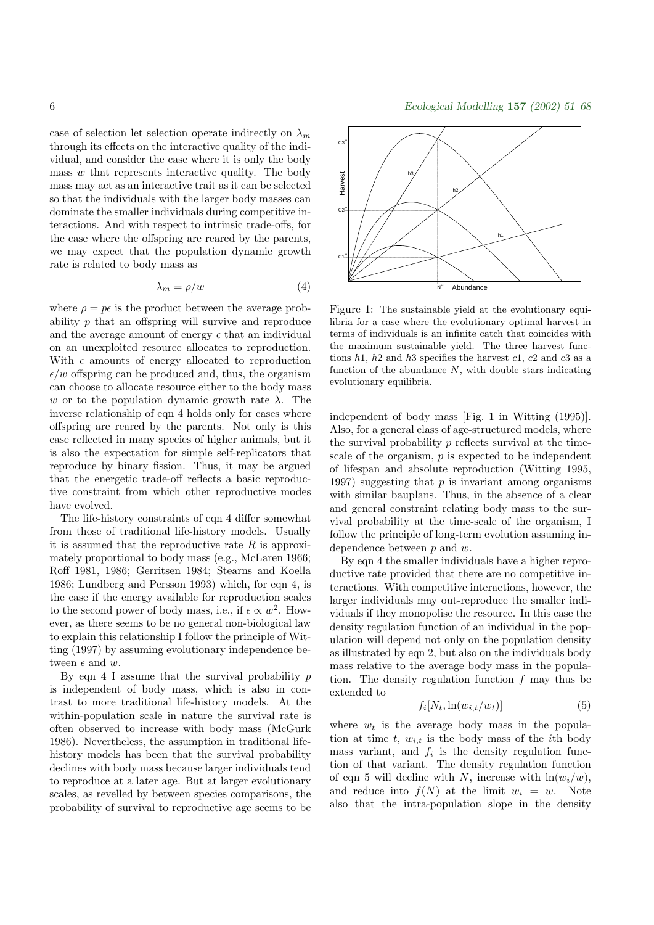case of selection let selection operate indirectly on  $\lambda_m$ through its effects on the interactive quality of the individual, and consider the case where it is only the body mass  $w$  that represents interactive quality. The body mass may act as an interactive trait as it can be selected so that the individuals with the larger body masses can dominate the smaller individuals during competitive interactions. And with respect to intrinsic trade-offs, for the case where the offspring are reared by the parents, we may expect that the population dynamic growth rate is related to body mass as

$$
\lambda_m = \rho/w \tag{4}
$$

where  $\rho = p\epsilon$  is the product between the average probability p that an offspring will survive and reproduce and the average amount of energy  $\epsilon$  that an individual on an unexploited resource allocates to reproduction. With  $\epsilon$  amounts of energy allocated to reproduction  $\epsilon/w$  offspring can be produced and, thus, the organism can choose to allocate resource either to the body mass w or to the population dynamic growth rate  $\lambda$ . The inverse relationship of eqn 4 holds only for cases where offspring are reared by the parents. Not only is this case reflected in many species of higher animals, but it is also the expectation for simple self-replicators that reproduce by binary fission. Thus, it may be argued that the energetic trade-off reflects a basic reproductive constraint from which other reproductive modes have evolved.

The life-history constraints of eqn 4 differ somewhat from those of traditional life-history models. Usually it is assumed that the reproductive rate  $R$  is approximately proportional to body mass (e.g., McLaren 1966; Roff 1981, 1986; Gerritsen 1984; Stearns and Koella 1986; Lundberg and Persson 1993) which, for eqn 4, is the case if the energy available for reproduction scales to the second power of body mass, i.e., if  $\epsilon \propto w^2$ . However, as there seems to be no general non-biological law to explain this relationship I follow the principle of Witting (1997) by assuming evolutionary independence between  $\epsilon$  and  $w$ .

By eqn 4 I assume that the survival probability  $p$ is independent of body mass, which is also in contrast to more traditional life-history models. At the within-population scale in nature the survival rate is often observed to increase with body mass (McGurk 1986). Nevertheless, the assumption in traditional lifehistory models has been that the survival probability declines with body mass because larger individuals tend to reproduce at a later age. But at larger evolutionary scales, as revelled by between species comparisons, the probability of survival to reproductive age seems to be



Figure 1: The sustainable yield at the evolutionary equilibria for a case where the evolutionary optimal harvest in terms of individuals is an infinite catch that coincides with the maximum sustainable yield. The three harvest functions h1, h2 and h3 specifies the harvest c1, c2 and c3 as a function of the abundance  $N$ , with double stars indicating evolutionary equilibria.

independent of body mass [Fig. 1 in Witting (1995)]. Also, for a general class of age-structured models, where the survival probability p reflects survival at the timescale of the organism,  $p$  is expected to be independent of lifespan and absolute reproduction (Witting 1995, 1997) suggesting that  $p$  is invariant among organisms with similar bauplans. Thus, in the absence of a clear and general constraint relating body mass to the survival probability at the time-scale of the organism, I follow the principle of long-term evolution assuming independence between p and w.

By eqn 4 the smaller individuals have a higher reproductive rate provided that there are no competitive interactions. With competitive interactions, however, the larger individuals may out-reproduce the smaller individuals if they monopolise the resource. In this case the density regulation function of an individual in the population will depend not only on the population density as illustrated by eqn 2, but also on the individuals body mass relative to the average body mass in the population. The density regulation function  $f$  may thus be extended to

$$
f_i[N_t, \ln(w_{i,t}/w_t)]\tag{5}
$$

where  $w_t$  is the average body mass in the population at time t,  $w_{i,t}$  is the body mass of the *i*th body mass variant, and  $f_i$  is the density regulation function of that variant. The density regulation function of eqn 5 will decline with N, increase with  $\ln(w_i/w)$ , and reduce into  $f(N)$  at the limit  $w_i = w$ . Note also that the intra-population slope in the density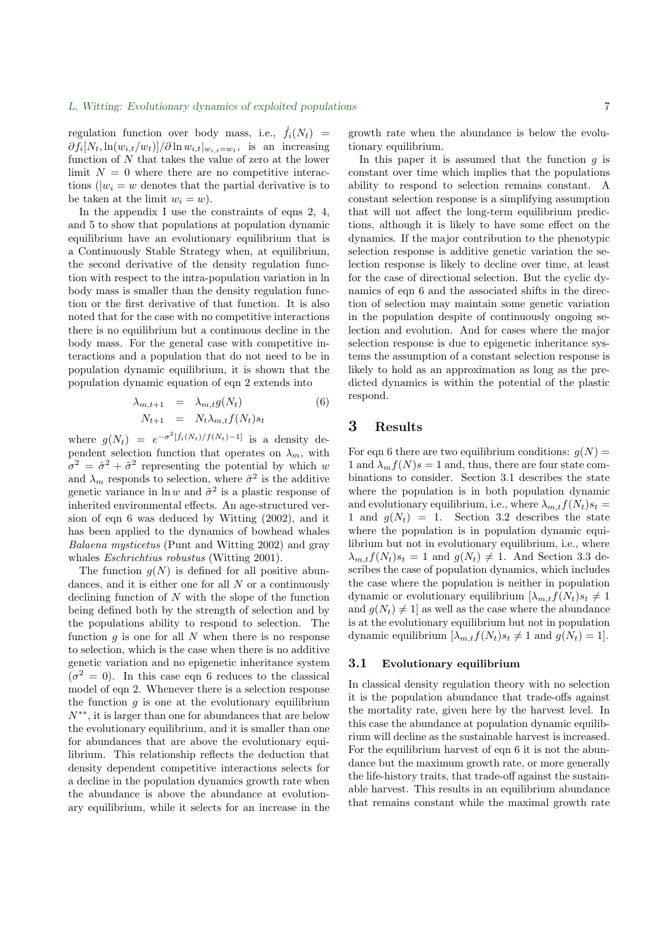regulation function over body mass, i.e.,  $\dot{f}_i(N_t)$  =  $\partial f_i[N_t, \ln(w_{i,t}/w_t)]/\partial \ln w_{i,t}|_{w_{i,t}=w_t}$ , is an increasing function of  $N$  that takes the value of zero at the lower limit  $N = 0$  where there are no competitive interactions ( $|w_i = w$  denotes that the partial derivative is to be taken at the limit  $w_i = w$ ).

In the appendix I use the constraints of eqns 2, 4, and 5 to show that populations at population dynamic equilibrium have an evolutionary equilibrium that is a Continuously Stable Strategy when, at equilibrium, the second derivative of the density regulation function with respect to the intra-population variation in ln body mass is smaller than the density regulation function or the first derivative of that function. It is also noted that for the case with no competitive interactions there is no equilibrium but a continuous decline in the body mass. For the general case with competitive interactions and a population that do not need to be in population dynamic equilibrium, it is shown that the population dynamic equation of eqn 2 extends into

$$
\lambda_{m,t+1} = \lambda_{m,t} g(N_t) \tag{6}
$$

$$
N_{t+1} = N_t \lambda_{m,t} f(N_t) s_t
$$

where  $g(N_t) = e^{-\sigma^2[\dot{f}_i(N_t)/f(N_t)-1]}$  is a density dependent selection function that operates on  $\lambda_m$ , with  $\sigma^2 = \hat{\sigma}^2 + \tilde{\sigma}^2$  representing the potential by which w and  $\lambda_m$  responds to selection, where  $\hat{\sigma}^2$  is the additive genetic variance in  $\ln w$  and  $\tilde{\sigma}^2$  is a plastic response of inherited environmental effects. An age-structured version of eqn 6 was deduced by Witting (2002), and it has been applied to the dynamics of bowhead whales Balaena mysticetus (Punt and Witting 2002) and gray whales *Eschrichtius robustus* (Witting 2001).

The function  $g(N)$  is defined for all positive abundances, and it is either one for all  $N$  or a continuously declining function of N with the slope of the function being defined both by the strength of selection and by the populations ability to respond to selection. The function  $q$  is one for all N when there is no response to selection, which is the case when there is no additive genetic variation and no epigenetic inheritance system  $(\sigma^2 = 0)$ . In this case eqn 6 reduces to the classical model of eqn 2. Whenever there is a selection response the function  $g$  is one at the evolutionary equilibrium  $N^{**}$ , it is larger than one for abundances that are below the evolutionary equilibrium, and it is smaller than one for abundances that are above the evolutionary equilibrium. This relationship reflects the deduction that density dependent competitive interactions selects for a decline in the population dynamics growth rate when the abundance is above the abundance at evolutionary equilibrium, while it selects for an increase in the growth rate when the abundance is below the evolutionary equilibrium.

In this paper it is assumed that the function  $g$  is constant over time which implies that the populations ability to respond to selection remains constant. A constant selection response is a simplifying assumption that will not affect the long-term equilibrium predictions, although it is likely to have some effect on the dynamics. If the major contribution to the phenotypic selection response is additive genetic variation the selection response is likely to decline over time, at least for the case of directional selection. But the cyclic dynamics of eqn 6 and the associated shifts in the direction of selection may maintain some genetic variation in the population despite of continuously ongoing selection and evolution. And for cases where the major selection response is due to epigenetic inheritance systems the assumption of a constant selection response is likely to hold as an approximation as long as the predicted dynamics is within the potential of the plastic respond.

# 3 Results

For eqn 6 there are two equilibrium conditions:  $q(N) =$ 1 and  $\lambda_m f(N)s = 1$  and, thus, there are four state combinations to consider. Section 3.1 describes the state where the population is in both population dynamic and evolutionary equilibrium, i.e., where  $\lambda_{m,t} f(N_t) s_t =$ 1 and  $q(N_t) = 1$ . Section 3.2 describes the state where the population is in population dynamic equilibrium but not in evolutionary equilibrium, i.e., where  $\lambda_{m,t} f(N_t) s_t = 1$  and  $g(N_t) \neq 1$ . And Section 3.3 describes the case of population dynamics, which includes the case where the population is neither in population dynamic or evolutionary equilibrium  $\left[\lambda_{m,t}f(N_t)s_t\neq 1\right]$ and  $q(N_t) \neq 1$  as well as the case where the abundance is at the evolutionary equilibrium but not in population dynamic equilibrium  $[\lambda_{m,t}f(N_t)s_t \neq 1$  and  $g(N_t) = 1]$ .

#### 3.1 Evolutionary equilibrium

In classical density regulation theory with no selection it is the population abundance that trade-offs against the mortality rate, given here by the harvest level. In this case the abundance at population dynamic equilibrium will decline as the sustainable harvest is increased. For the equilibrium harvest of eqn 6 it is not the abundance but the maximum growth rate, or more generally the life-history traits, that trade-off against the sustainable harvest. This results in an equilibrium abundance that remains constant while the maximal growth rate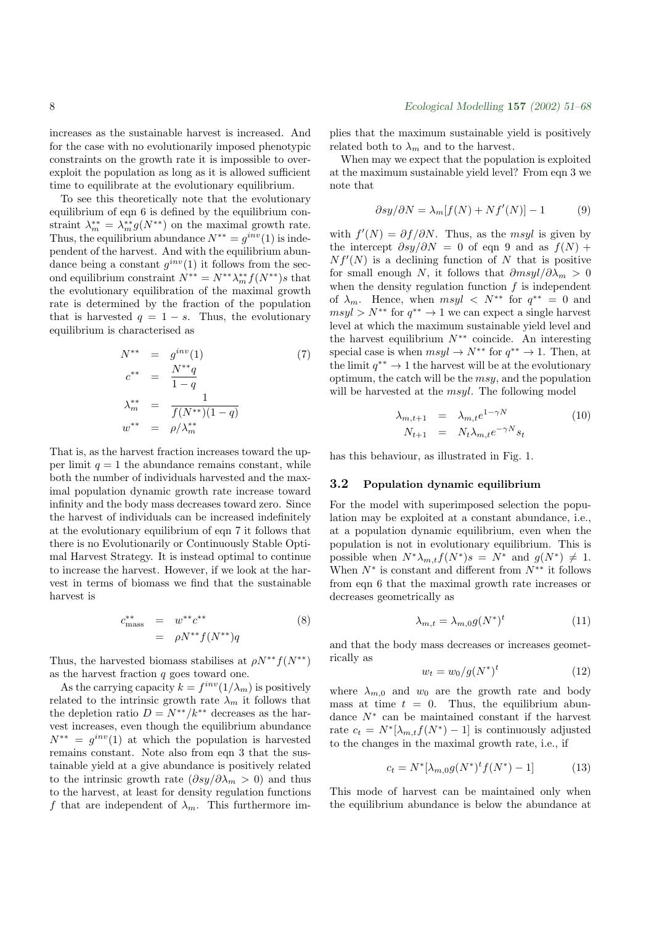increases as the sustainable harvest is increased. And for the case with no evolutionarily imposed phenotypic constraints on the growth rate it is impossible to overexploit the population as long as it is allowed sufficient time to equilibrate at the evolutionary equilibrium.

To see this theoretically note that the evolutionary equilibrium of eqn 6 is defined by the equilibrium constraint  $\lambda_m^{**} = \lambda_m^{**} g(N^{**})$  on the maximal growth rate. Thus, the equilibrium abundance  $N^{**} = g^{inv}(1)$  is independent of the harvest. And with the equilibrium abundance being a constant  $g^{inv}(1)$  it follows from the second equilibrium constraint  $N^{**} = N^{**} \lambda_m^{**} f(N^{**}) s$  that the evolutionary equilibration of the maximal growth rate is determined by the fraction of the population that is harvested  $q = 1 - s$ . Thus, the evolutionary equilibrium is characterised as

$$
N^{**} = g^{inv}(1)
$$
  
\n
$$
c^{**} = \frac{N^{**}q}{1-q}
$$
  
\n
$$
\lambda_m^{**} = \frac{1}{f(N^{**})(1-q)}
$$
  
\n
$$
w^{**} = \rho/\lambda_m^{**}
$$
 (7)

That is, as the harvest fraction increases toward the upper limit  $q = 1$  the abundance remains constant, while both the number of individuals harvested and the maximal population dynamic growth rate increase toward infinity and the body mass decreases toward zero. Since the harvest of individuals can be increased indefinitely at the evolutionary equilibrium of eqn 7 it follows that there is no Evolutionarily or Continuously Stable Optimal Harvest Strategy. It is instead optimal to continue to increase the harvest. However, if we look at the harvest in terms of biomass we find that the sustainable harvest is

$$
c_{\text{mass}}^{**} = w^{**}c^{**} \tag{8}
$$

$$
= \rho N^{**}f(N^{**})q
$$

Thus, the harvested biomass stabilises at  $\rho N^{**}f(N^{**})$ as the harvest fraction  $q$  goes toward one.

As the carrying capacity  $k = f^{inv}(1/\lambda_m)$  is positively related to the intrinsic growth rate  $\lambda_m$  it follows that the depletion ratio  $D = N^{**}/k^{**}$  decreases as the harvest increases, even though the equilibrium abundance  $N^{**} = g^{inv}(1)$  at which the population is harvested remains constant. Note also from eqn 3 that the sustainable yield at a give abundance is positively related to the intrinsic growth rate  $(\partial s y/\partial \lambda_m > 0)$  and thus to the harvest, at least for density regulation functions f that are independent of  $\lambda_m$ . This furthermore implies that the maximum sustainable yield is positively related both to  $\lambda_m$  and to the harvest.

When may we expect that the population is exploited at the maximum sustainable yield level? From eqn 3 we note that

$$
\partial s y / \partial N = \lambda_m [f(N) + N f'(N)] - 1 \tag{9}
$$

with  $f'(N) = \partial f / \partial N$ . Thus, as the msyl is given by the intercept  $\partial s y/\partial N = 0$  of eqn 9 and as  $f(N)$  +  $Nf'(N)$  is a declining function of N that is positive for small enough N, it follows that  $\partial m s y l / \partial \lambda_m > 0$ when the density regulation function  $f$  is independent of  $\lambda_m$ . Hence, when  $m syl \leq N^{**}$  for  $q^{**} = 0$  and  $msyl > N^{**}$  for  $q^{**} \to 1$  we can expect a single harvest level at which the maximum sustainable yield level and the harvest equilibrium  $N^{**}$  coincide. An interesting special case is when  $msyl \to N^{**}$  for  $q^{**} \to 1$ . Then, at the limit  $q^{**} \to 1$  the harvest will be at the evolutionary optimum, the catch will be the msy, and the population will be harvested at the *msyl*. The following model

$$
\lambda_{m,t+1} = \lambda_{m,t} e^{1-\gamma N} \tag{10}
$$
\n
$$
N_{t+1} = N_t \lambda_{m,t} e^{-\gamma N} s_t
$$

has this behaviour, as illustrated in Fig. 1.

#### 3.2 Population dynamic equilibrium

For the model with superimposed selection the population may be exploited at a constant abundance, i.e., at a population dynamic equilibrium, even when the population is not in evolutionary equilibrium. This is possible when  $N^*\lambda_{m,t}f(N^*)s = N^*$  and  $g(N^*) \neq 1$ . When  $N^*$  is constant and different from  $N^{**}$  it follows from eqn 6 that the maximal growth rate increases or decreases geometrically as

$$
\lambda_{m,t} = \lambda_{m,0} g(N^*)^t \tag{11}
$$

and that the body mass decreases or increases geometrically as

$$
w_t = w_0 / g(N^*)^t \tag{12}
$$

where  $\lambda_{m,0}$  and  $w_0$  are the growth rate and body mass at time  $t = 0$ . Thus, the equilibrium abundance  $N^*$  can be maintained constant if the harvest rate  $c_t = N^*[\lambda_{m,t}f(N^*)-1]$  is continuously adjusted to the changes in the maximal growth rate, i.e., if

$$
c_t = N^*[\lambda_{m,0}g(N^*)^t f(N^*) - 1] \tag{13}
$$

This mode of harvest can be maintained only when the equilibrium abundance is below the abundance at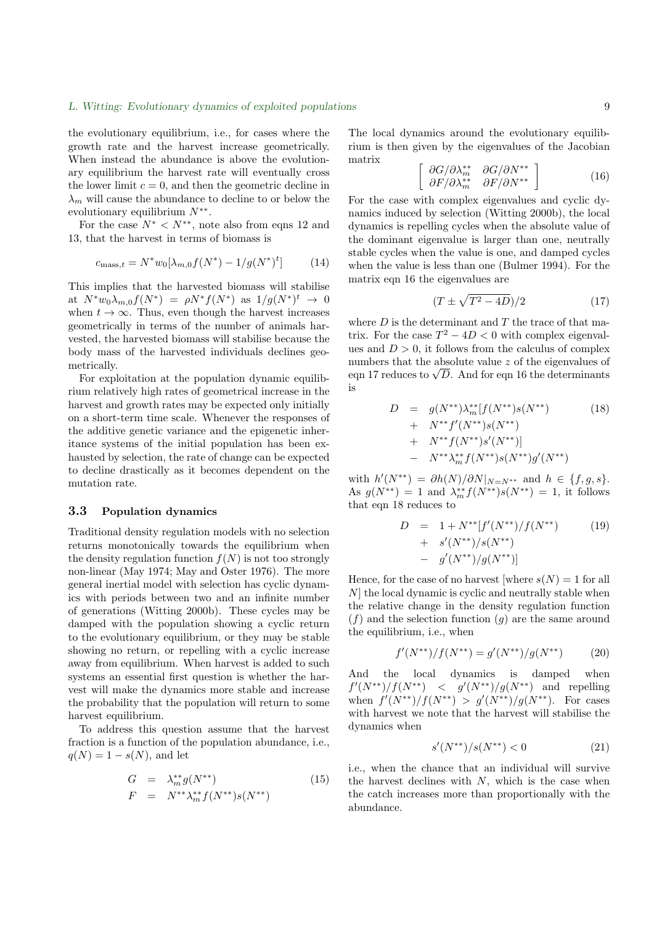the evolutionary equilibrium, i.e., for cases where the growth rate and the harvest increase geometrically. When instead the abundance is above the evolutionary equilibrium the harvest rate will eventually cross the lower limit  $c = 0$ , and then the geometric decline in  $\lambda_m$  will cause the abundance to decline to or below the evolutionary equilibrium  $N^{**}$ .

For the case  $N^* < N^{**}$ , note also from eqns 12 and 13, that the harvest in terms of biomass is

$$
c_{\text{mass},t} = N^* w_0 [\lambda_{m,0} f(N^*) - 1/g(N^*)^t] \tag{14}
$$

This implies that the harvested biomass will stabilise at  $N^*w_0\lambda_{m,0}f(N^*) = \rho N^*f(N^*)$  as  $1/g(N^*)^t \to 0$ when  $t \to \infty$ . Thus, even though the harvest increases geometrically in terms of the number of animals harvested, the harvested biomass will stabilise because the body mass of the harvested individuals declines geometrically.

For exploitation at the population dynamic equilibrium relatively high rates of geometrical increase in the harvest and growth rates may be expected only initially on a short-term time scale. Whenever the responses of the additive genetic variance and the epigenetic inheritance systems of the initial population has been exhausted by selection, the rate of change can be expected to decline drastically as it becomes dependent on the mutation rate.

### 3.3 Population dynamics

Traditional density regulation models with no selection returns monotonically towards the equilibrium when the density regulation function  $f(N)$  is not too strongly non-linear (May 1974; May and Oster 1976). The more general inertial model with selection has cyclic dynamics with periods between two and an infinite number of generations (Witting 2000b). These cycles may be damped with the population showing a cyclic return to the evolutionary equilibrium, or they may be stable showing no return, or repelling with a cyclic increase away from equilibrium. When harvest is added to such systems an essential first question is whether the harvest will make the dynamics more stable and increase the probability that the population will return to some harvest equilibrium.

To address this question assume that the harvest fraction is a function of the population abundance, i.e.,  $q(N) = 1 - s(N)$ , and let

$$
G = \lambda_m^{**} g(N^{**})
$$
  
\n
$$
F = N^{**} \lambda_m^{**} f(N^{**}) s(N^{**})
$$
\n(15)

The local dynamics around the evolutionary equilibrium is then given by the eigenvalues of the Jacobian matrix

$$
\begin{bmatrix}\n\partial G/\partial \lambda_m^{**} & \partial G/\partial N^{**} \\
\partial F/\partial \lambda_m^{**} & \partial F/\partial N^{**}\n\end{bmatrix}
$$
\n(16)

For the case with complex eigenvalues and cyclic dynamics induced by selection (Witting 2000b), the local dynamics is repelling cycles when the absolute value of the dominant eigenvalue is larger than one, neutrally stable cycles when the value is one, and damped cycles when the value is less than one (Bulmer 1994). For the matrix eqn 16 the eigenvalues are

$$
(T \pm \sqrt{T^2 - 4D})/2 \tag{17}
$$

where  $D$  is the determinant and  $T$  the trace of that matrix. For the case  $T^2 - 4D < 0$  with complex eigenvalues and  $D > 0$ , it follows from the calculus of complex numbers that the absolute value z of the eigenvalues of numbers that the absolute value z of the eigenvalues of<br>eqn 17 reduces to  $\sqrt{D}$ . And for eqn 16 the determinants is

$$
D = g(N^{**})\lambda_m^{**}[f(N^{**})s(N^{**})
$$
 (18)  
+  $N^{**}f'(N^{**})s(N^{**})$   
+  $N^{**}f(N^{**})s'(N^{**})]$   
-  $N^{**}\lambda_m^{**}f(N^{**})s(N^{**})g'(N^{**})$ 

with  $h'(N^{**}) = \partial h(N)/\partial N|_{N=N^{**}}$  and  $h \in \{f, g, s\}.$ As  $g(N^{**}) = 1$  and  $\lambda_m^{**} f(N^{**}) s(N^{**}) = 1$ , it follows that eqn 18 reduces to

$$
D = 1 + N^{**} [f'(N^{**})/f(N^{**})
$$
  
+  $s'(N^{**})/s(N^{**})$   
-  $g'(N^{**})/g(N^{**})$ ] (19)

Hence, for the case of no harvest [where  $s(N) = 1$  for all  $N$  the local dynamic is cyclic and neutrally stable when the relative change in the density regulation function  $(f)$  and the selection function  $(g)$  are the same around the equilibrium, i.e., when

$$
f'(N^{**})/f(N^{**}) = g'(N^{**})/g(N^{**})
$$
 (20)

And the local dynamics is damped when  $f'(N^{**})/f(N^{**}) \leq g'(N^{**})/g(N^{**})$  and repelling when  $f'(N^{**})/f(N^{**}) > g'(N^{**})/g(N^{**})$ . For cases with harvest we note that the harvest will stabilise the dynamics when

$$
s'(N^{**})/s(N^{**}) < 0 \tag{21}
$$

i.e., when the chance that an individual will survive the harvest declines with  $N$ , which is the case when the catch increases more than proportionally with the abundance.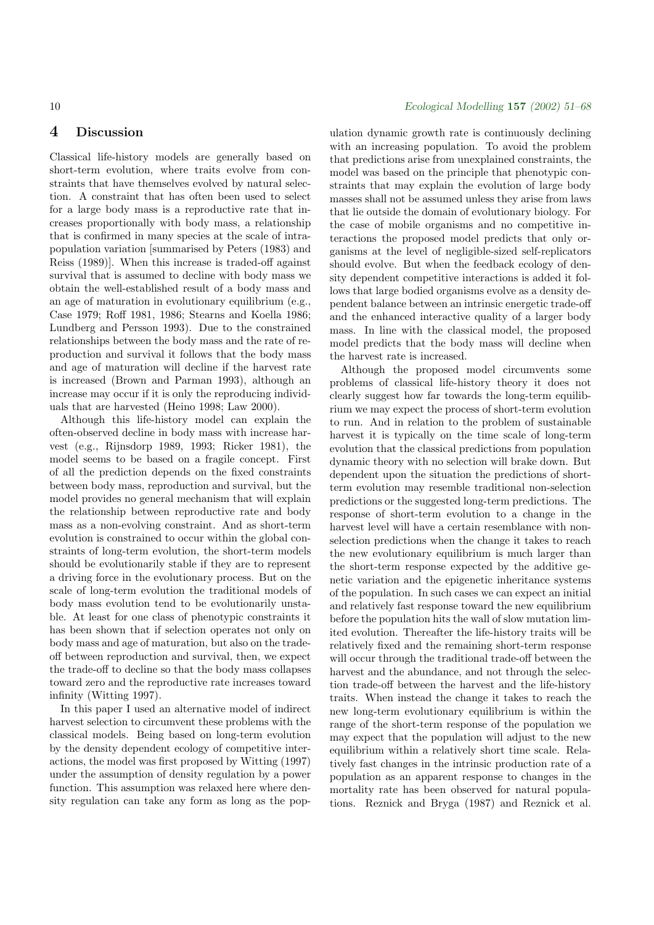### 4 Discussion

Classical life-history models are generally based on short-term evolution, where traits evolve from constraints that have themselves evolved by natural selection. A constraint that has often been used to select for a large body mass is a reproductive rate that increases proportionally with body mass, a relationship that is confirmed in many species at the scale of intrapopulation variation [summarised by Peters (1983) and Reiss (1989)]. When this increase is traded-off against survival that is assumed to decline with body mass we obtain the well-established result of a body mass and an age of maturation in evolutionary equilibrium (e.g., Case 1979; Roff 1981, 1986; Stearns and Koella 1986; Lundberg and Persson 1993). Due to the constrained relationships between the body mass and the rate of reproduction and survival it follows that the body mass and age of maturation will decline if the harvest rate is increased (Brown and Parman 1993), although an increase may occur if it is only the reproducing individuals that are harvested (Heino 1998; Law 2000).

Although this life-history model can explain the often-observed decline in body mass with increase harvest (e.g., Rijnsdorp 1989, 1993; Ricker 1981), the model seems to be based on a fragile concept. First of all the prediction depends on the fixed constraints between body mass, reproduction and survival, but the model provides no general mechanism that will explain the relationship between reproductive rate and body mass as a non-evolving constraint. And as short-term evolution is constrained to occur within the global constraints of long-term evolution, the short-term models should be evolutionarily stable if they are to represent a driving force in the evolutionary process. But on the scale of long-term evolution the traditional models of body mass evolution tend to be evolutionarily unstable. At least for one class of phenotypic constraints it has been shown that if selection operates not only on body mass and age of maturation, but also on the tradeoff between reproduction and survival, then, we expect the trade-off to decline so that the body mass collapses toward zero and the reproductive rate increases toward infinity (Witting 1997).

In this paper I used an alternative model of indirect harvest selection to circumvent these problems with the classical models. Being based on long-term evolution by the density dependent ecology of competitive interactions, the model was first proposed by Witting (1997) under the assumption of density regulation by a power function. This assumption was relaxed here where density regulation can take any form as long as the population dynamic growth rate is continuously declining with an increasing population. To avoid the problem that predictions arise from unexplained constraints, the model was based on the principle that phenotypic constraints that may explain the evolution of large body masses shall not be assumed unless they arise from laws that lie outside the domain of evolutionary biology. For the case of mobile organisms and no competitive interactions the proposed model predicts that only organisms at the level of negligible-sized self-replicators should evolve. But when the feedback ecology of density dependent competitive interactions is added it follows that large bodied organisms evolve as a density dependent balance between an intrinsic energetic trade-off and the enhanced interactive quality of a larger body mass. In line with the classical model, the proposed model predicts that the body mass will decline when the harvest rate is increased.

Although the proposed model circumvents some problems of classical life-history theory it does not clearly suggest how far towards the long-term equilibrium we may expect the process of short-term evolution to run. And in relation to the problem of sustainable harvest it is typically on the time scale of long-term evolution that the classical predictions from population dynamic theory with no selection will brake down. But dependent upon the situation the predictions of shortterm evolution may resemble traditional non-selection predictions or the suggested long-term predictions. The response of short-term evolution to a change in the harvest level will have a certain resemblance with nonselection predictions when the change it takes to reach the new evolutionary equilibrium is much larger than the short-term response expected by the additive genetic variation and the epigenetic inheritance systems of the population. In such cases we can expect an initial and relatively fast response toward the new equilibrium before the population hits the wall of slow mutation limited evolution. Thereafter the life-history traits will be relatively fixed and the remaining short-term response will occur through the traditional trade-off between the harvest and the abundance, and not through the selection trade-off between the harvest and the life-history traits. When instead the change it takes to reach the new long-term evolutionary equilibrium is within the range of the short-term response of the population we may expect that the population will adjust to the new equilibrium within a relatively short time scale. Relatively fast changes in the intrinsic production rate of a population as an apparent response to changes in the mortality rate has been observed for natural populations. Reznick and Bryga (1987) and Reznick et al.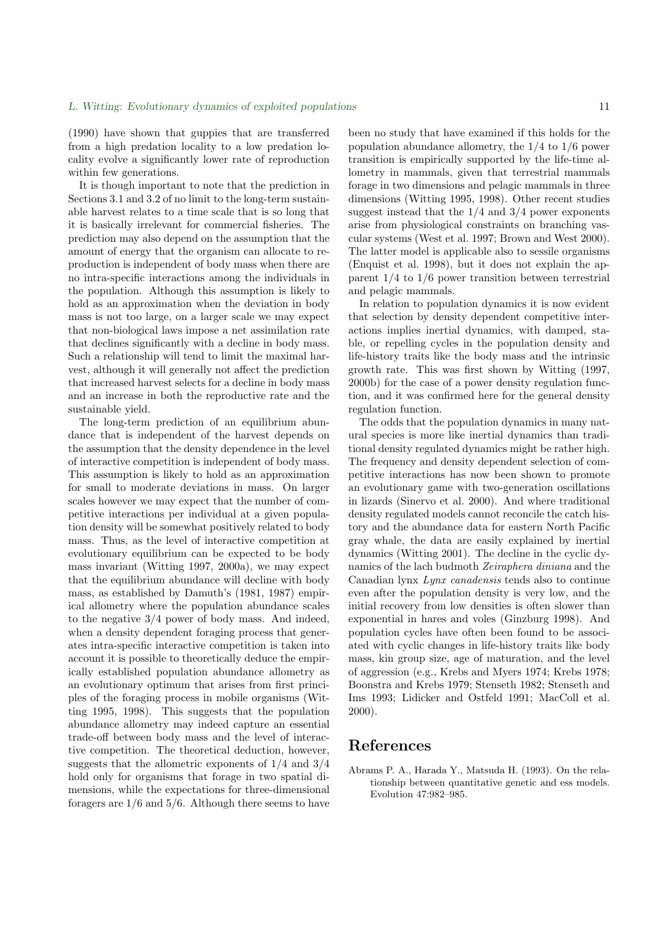(1990) have shown that guppies that are transferred from a high predation locality to a low predation locality evolve a significantly lower rate of reproduction within few generations.

It is though important to note that the prediction in Sections 3.1 and 3.2 of no limit to the long-term sustainable harvest relates to a time scale that is so long that it is basically irrelevant for commercial fisheries. The prediction may also depend on the assumption that the amount of energy that the organism can allocate to reproduction is independent of body mass when there are no intra-specific interactions among the individuals in the population. Although this assumption is likely to hold as an approximation when the deviation in body mass is not too large, on a larger scale we may expect that non-biological laws impose a net assimilation rate that declines significantly with a decline in body mass. Such a relationship will tend to limit the maximal harvest, although it will generally not affect the prediction that increased harvest selects for a decline in body mass and an increase in both the reproductive rate and the sustainable yield.

The long-term prediction of an equilibrium abundance that is independent of the harvest depends on the assumption that the density dependence in the level of interactive competition is independent of body mass. This assumption is likely to hold as an approximation for small to moderate deviations in mass. On larger scales however we may expect that the number of competitive interactions per individual at a given population density will be somewhat positively related to body mass. Thus, as the level of interactive competition at evolutionary equilibrium can be expected to be body mass invariant (Witting 1997, 2000a), we may expect that the equilibrium abundance will decline with body mass, as established by Damuth's (1981, 1987) empirical allometry where the population abundance scales to the negative 3/4 power of body mass. And indeed, when a density dependent foraging process that generates intra-specific interactive competition is taken into account it is possible to theoretically deduce the empirically established population abundance allometry as an evolutionary optimum that arises from first principles of the foraging process in mobile organisms (Witting 1995, 1998). This suggests that the population abundance allometry may indeed capture an essential trade-off between body mass and the level of interactive competition. The theoretical deduction, however, suggests that the allometric exponents of 1/4 and 3/4 hold only for organisms that forage in two spatial dimensions, while the expectations for three-dimensional foragers are 1/6 and 5/6. Although there seems to have been no study that have examined if this holds for the population abundance allometry, the 1/4 to 1/6 power transition is empirically supported by the life-time allometry in mammals, given that terrestrial mammals forage in two dimensions and pelagic mammals in three dimensions (Witting 1995, 1998). Other recent studies suggest instead that the 1/4 and 3/4 power exponents arise from physiological constraints on branching vascular systems (West et al. 1997; Brown and West 2000). The latter model is applicable also to sessile organisms (Enquist et al. 1998), but it does not explain the apparent 1/4 to 1/6 power transition between terrestrial and pelagic mammals.

In relation to population dynamics it is now evident that selection by density dependent competitive interactions implies inertial dynamics, with damped, stable, or repelling cycles in the population density and life-history traits like the body mass and the intrinsic growth rate. This was first shown by Witting (1997, 2000b) for the case of a power density regulation function, and it was confirmed here for the general density regulation function.

The odds that the population dynamics in many natural species is more like inertial dynamics than traditional density regulated dynamics might be rather high. The frequency and density dependent selection of competitive interactions has now been shown to promote an evolutionary game with two-generation oscillations in lizards (Sinervo et al. 2000). And where traditional density regulated models cannot reconcile the catch history and the abundance data for eastern North Pacific gray whale, the data are easily explained by inertial dynamics (Witting 2001). The decline in the cyclic dynamics of the lach budmoth Zeiraphera diniana and the Canadian lynx Lynx canadensis tends also to continue even after the population density is very low, and the initial recovery from low densities is often slower than exponential in hares and voles (Ginzburg 1998). And population cycles have often been found to be associated with cyclic changes in life-history traits like body mass, kin group size, age of maturation, and the level of aggression (e.g., Krebs and Myers 1974; Krebs 1978; Boonstra and Krebs 1979; Stenseth 1982; Stenseth and Ims 1993; Lidicker and Ostfeld 1991; MacColl et al. 2000).

# References

Abrams P. A., Harada Y., Matsuda H. (1993). On the relationship between quantitative genetic and ess models. Evolution 47:982–985.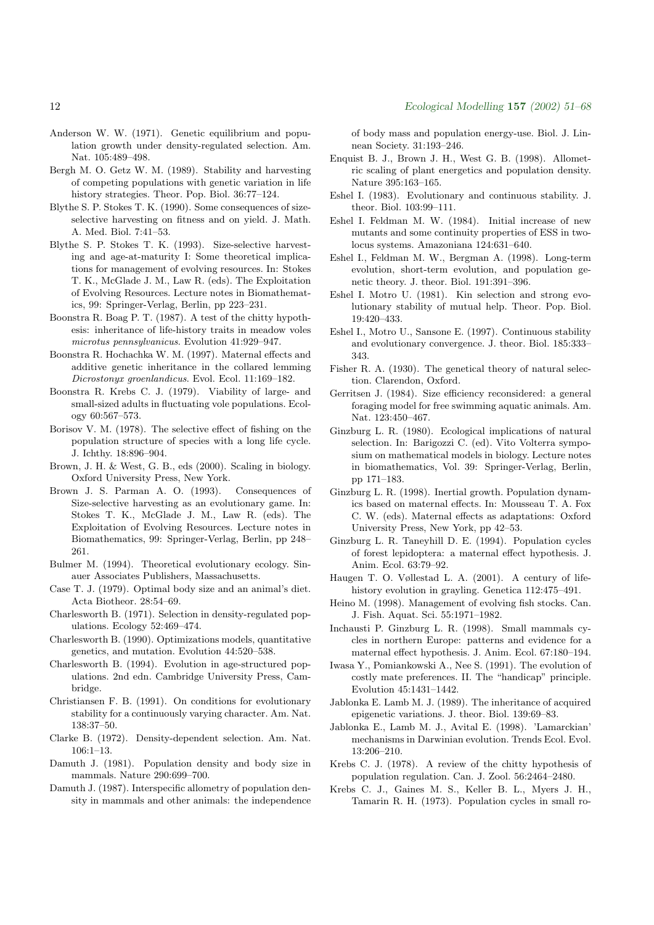#### 12 Ecological Modelling 157 (2002) 51–68

- Anderson W. W. (1971). Genetic equilibrium and population growth under density-regulated selection. Am. Nat. 105:489–498.
- Bergh M. O. Getz W. M. (1989). Stability and harvesting of competing populations with genetic variation in life history strategies. Theor. Pop. Biol. 36:77–124.
- Blythe S. P. Stokes T. K. (1990). Some consequences of sizeselective harvesting on fitness and on yield. J. Math. A. Med. Biol. 7:41–53.
- Blythe S. P. Stokes T. K. (1993). Size-selective harvesting and age-at-maturity I: Some theoretical implications for management of evolving resources. In: Stokes T. K., McGlade J. M., Law R. (eds). The Exploitation of Evolving Resources. Lecture notes in Biomathematics, 99: Springer-Verlag, Berlin, pp 223–231.
- Boonstra R. Boag P. T. (1987). A test of the chitty hypothesis: inheritance of life-history traits in meadow voles microtus pennsylvanicus. Evolution 41:929–947.
- Boonstra R. Hochachka W. M. (1997). Maternal effects and additive genetic inheritance in the collared lemming Dicrostonyx groenlandicus. Evol. Ecol. 11:169–182.
- Boonstra R. Krebs C. J. (1979). Viability of large- and small-sized adults in fluctuating vole populations. Ecology 60:567–573.
- Borisov V. M. (1978). The selective effect of fishing on the population structure of species with a long life cycle. J. Ichthy. 18:896–904.
- Brown, J. H. & West, G. B., eds (2000). Scaling in biology. Oxford University Press, New York.
- Brown J. S. Parman A. O. (1993). Consequences of Size-selective harvesting as an evolutionary game. In: Stokes T. K., McGlade J. M., Law R. (eds). The Exploitation of Evolving Resources. Lecture notes in Biomathematics, 99: Springer-Verlag, Berlin, pp 248– 261.
- Bulmer M. (1994). Theoretical evolutionary ecology. Sinauer Associates Publishers, Massachusetts.
- Case T. J. (1979). Optimal body size and an animal's diet. Acta Biotheor. 28:54–69.
- Charlesworth B. (1971). Selection in density-regulated populations. Ecology 52:469–474.
- Charlesworth B. (1990). Optimizations models, quantitative genetics, and mutation. Evolution 44:520–538.
- Charlesworth B. (1994). Evolution in age-structured populations. 2nd edn. Cambridge University Press, Cambridge.
- Christiansen F. B. (1991). On conditions for evolutionary stability for a continuously varying character. Am. Nat. 138:37–50.
- Clarke B. (1972). Density-dependent selection. Am. Nat. 106:1–13.
- Damuth J. (1981). Population density and body size in mammals. Nature 290:699–700.
- Damuth J. (1987). Interspecific allometry of population density in mammals and other animals: the independence

of body mass and population energy-use. Biol. J. Linnean Society. 31:193–246.

- Enquist B. J., Brown J. H., West G. B. (1998). Allometric scaling of plant energetics and population density. Nature 395:163–165.
- Eshel I. (1983). Evolutionary and continuous stability. J. theor. Biol. 103:99–111.
- Eshel I. Feldman M. W. (1984). Initial increase of new mutants and some continuity properties of ESS in twolocus systems. Amazoniana 124:631–640.
- Eshel I., Feldman M. W., Bergman A. (1998). Long-term evolution, short-term evolution, and population genetic theory. J. theor. Biol. 191:391–396.
- Eshel I. Motro U. (1981). Kin selection and strong evolutionary stability of mutual help. Theor. Pop. Biol. 19:420–433.
- Eshel I., Motro U., Sansone E. (1997). Continuous stability and evolutionary convergence. J. theor. Biol. 185:333– 343.
- Fisher R. A. (1930). The genetical theory of natural selection. Clarendon, Oxford.
- Gerritsen J. (1984). Size efficiency reconsidered: a general foraging model for free swimming aquatic animals. Am. Nat. 123:450–467.
- Ginzburg L. R. (1980). Ecological implications of natural selection. In: Barigozzi C. (ed). Vito Volterra symposium on mathematical models in biology. Lecture notes in biomathematics, Vol. 39: Springer-Verlag, Berlin, pp 171–183.
- Ginzburg L. R. (1998). Inertial growth. Population dynamics based on maternal effects. In: Mousseau T. A. Fox C. W. (eds). Maternal effects as adaptations: Oxford University Press, New York, pp 42–53.
- Ginzburg L. R. Taneyhill D. E. (1994). Population cycles of forest lepidoptera: a maternal effect hypothesis. J. Anim. Ecol. 63:79–92.
- Haugen T. O. Vøllestad L. A. (2001). A century of lifehistory evolution in grayling. Genetica 112:475–491.
- Heino M. (1998). Management of evolving fish stocks. Can. J. Fish. Aquat. Sci. 55:1971–1982.
- Inchausti P. Ginzburg L. R. (1998). Small mammals cycles in northern Europe: patterns and evidence for a maternal effect hypothesis. J. Anim. Ecol. 67:180–194.
- Iwasa Y., Pomiankowski A., Nee S. (1991). The evolution of costly mate preferences. II. The "handicap" principle. Evolution 45:1431–1442.
- Jablonka E. Lamb M. J. (1989). The inheritance of acquired epigenetic variations. J. theor. Biol. 139:69–83.
- Jablonka E., Lamb M. J., Avital E. (1998). 'Lamarckian' mechanisms in Darwinian evolution. Trends Ecol. Evol. 13:206–210.
- Krebs C. J. (1978). A review of the chitty hypothesis of population regulation. Can. J. Zool. 56:2464–2480.
- Krebs C. J., Gaines M. S., Keller B. L., Myers J. H., Tamarin R. H. (1973). Population cycles in small ro-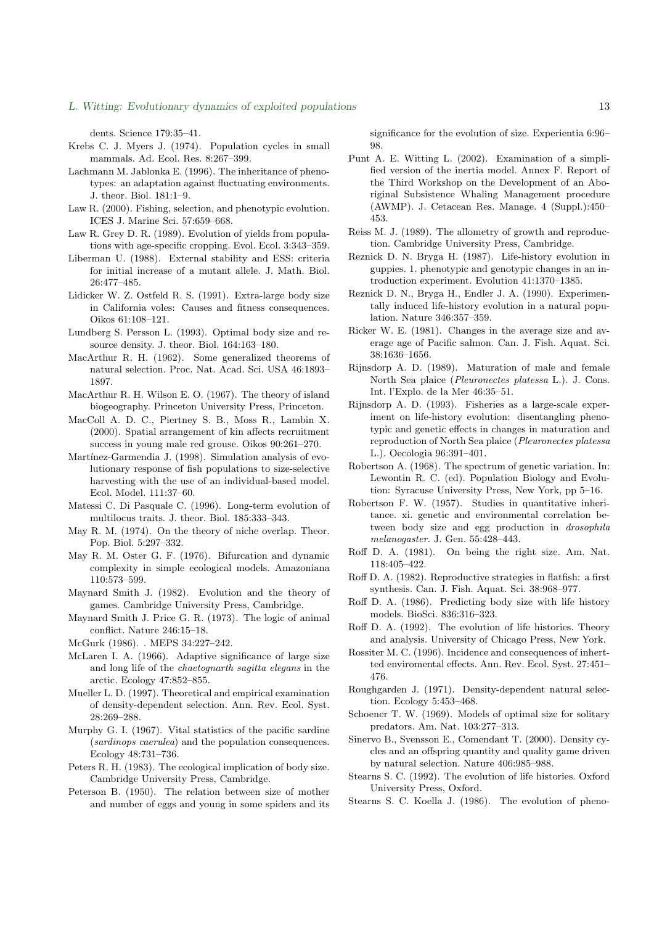#### L. Witting: Evolutionary dynamics of exploited populations 13

dents. Science 179:35–41.

- Krebs C. J. Myers J. (1974). Population cycles in small mammals. Ad. Ecol. Res. 8:267–399.
- Lachmann M. Jablonka E. (1996). The inheritance of phenotypes: an adaptation against fluctuating environments. J. theor. Biol. 181:1–9.
- Law R. (2000). Fishing, selection, and phenotypic evolution. ICES J. Marine Sci. 57:659–668.
- Law R. Grey D. R. (1989). Evolution of yields from populations with age-specific cropping. Evol. Ecol. 3:343–359.
- Liberman U. (1988). External stability and ESS: criteria for initial increase of a mutant allele. J. Math. Biol. 26:477–485.
- Lidicker W. Z. Ostfeld R. S. (1991). Extra-large body size in California voles: Causes and fitness consequences. Oikos 61:108–121.
- Lundberg S. Persson L. (1993). Optimal body size and resource density. J. theor. Biol. 164:163–180.
- MacArthur R. H. (1962). Some generalized theorems of natural selection. Proc. Nat. Acad. Sci. USA 46:1893– 1897.
- MacArthur R. H. Wilson E. O. (1967). The theory of island biogeography. Princeton University Press, Princeton.
- MacColl A. D. C., Piertney S. B., Moss R., Lambin X. (2000). Spatial arrangement of kin affects recruitment success in young male red grouse. Oikos 90:261–270.
- Martínez-Garmendia J. (1998). Simulation analysis of evolutionary response of fish populations to size-selective harvesting with the use of an individual-based model. Ecol. Model. 111:37–60.
- Matessi C. Di Pasquale C. (1996). Long-term evolution of multilocus traits. J. theor. Biol. 185:333–343.
- May R. M. (1974). On the theory of niche overlap. Theor. Pop. Biol. 5:297–332.
- May R. M. Oster G. F. (1976). Bifurcation and dynamic complexity in simple ecological models. Amazoniana 110:573–599.
- Maynard Smith J. (1982). Evolution and the theory of games. Cambridge University Press, Cambridge.
- Maynard Smith J. Price G. R. (1973). The logic of animal conflict. Nature 246:15–18.

McGurk (1986). . MEPS 34:227–242.

- McLaren I. A. (1966). Adaptive significance of large size and long life of the chaetognarth sagitta elegans in the arctic. Ecology 47:852–855.
- Mueller L. D. (1997). Theoretical and empirical examination of density-dependent selection. Ann. Rev. Ecol. Syst. 28:269–288.
- Murphy G. I. (1967). Vital statistics of the pacific sardine (sardinops caerulea) and the population consequences. Ecology 48:731–736.
- Peters R. H. (1983). The ecological implication of body size. Cambridge University Press, Cambridge.
- Peterson B. (1950). The relation between size of mother and number of eggs and young in some spiders and its

significance for the evolution of size. Experientia 6:96– 98.

- Punt A. E. Witting L. (2002). Examination of a simplified version of the inertia model. Annex F. Report of the Third Workshop on the Development of an Aboriginal Subsistence Whaling Management procedure (AWMP). J. Cetacean Res. Manage. 4 (Suppl.):450– 453.
- Reiss M. J. (1989). The allometry of growth and reproduction. Cambridge University Press, Cambridge.
- Reznick D. N. Bryga H. (1987). Life-history evolution in guppies. 1. phenotypic and genotypic changes in an introduction experiment. Evolution 41:1370–1385.
- Reznick D. N., Bryga H., Endler J. A. (1990). Experimentally induced life-history evolution in a natural population. Nature 346:357–359.
- Ricker W. E. (1981). Changes in the average size and average age of Pacific salmon. Can. J. Fish. Aquat. Sci. 38:1636–1656.
- Rijnsdorp A. D. (1989). Maturation of male and female North Sea plaice (Pleuronectes platessa L.). J. Cons. Int. l'Explo. de la Mer 46:35–51.
- Rijnsdorp A. D. (1993). Fisheries as a large-scale experiment on life-history evolution: disentangling phenotypic and genetic effects in changes in maturation and reproduction of North Sea plaice (Pleuronectes platessa L.). Oecologia 96:391–401.
- Robertson A. (1968). The spectrum of genetic variation. In: Lewontin R. C. (ed). Population Biology and Evolution: Syracuse University Press, New York, pp 5–16.
- Robertson F. W. (1957). Studies in quantitative inheritance. xi. genetic and environmental correlation between body size and egg production in *drosophila* melanogaster. J. Gen. 55:428–443.
- Roff D. A. (1981). On being the right size. Am. Nat. 118:405–422.
- Roff D. A. (1982). Reproductive strategies in flatfish: a first synthesis. Can. J. Fish. Aquat. Sci. 38:968–977.
- Roff D. A. (1986). Predicting body size with life history models. BioSci. 836:316–323.
- Roff D. A. (1992). The evolution of life histories. Theory and analysis. University of Chicago Press, New York.
- Rossiter M. C. (1996). Incidence and consequences of inhertted enviromental effects. Ann. Rev. Ecol. Syst. 27:451– 476.
- Roughgarden J. (1971). Density-dependent natural selection. Ecology 5:453–468.
- Schoener T. W. (1969). Models of optimal size for solitary predators. Am. Nat. 103:277–313.
- Sinervo B., Svensson E., Comendant T. (2000). Density cycles and an offspring quantity and quality game driven by natural selection. Nature 406:985–988.
- Stearns S. C. (1992). The evolution of life histories. Oxford University Press, Oxford.
- Stearns S. C. Koella J. (1986). The evolution of pheno-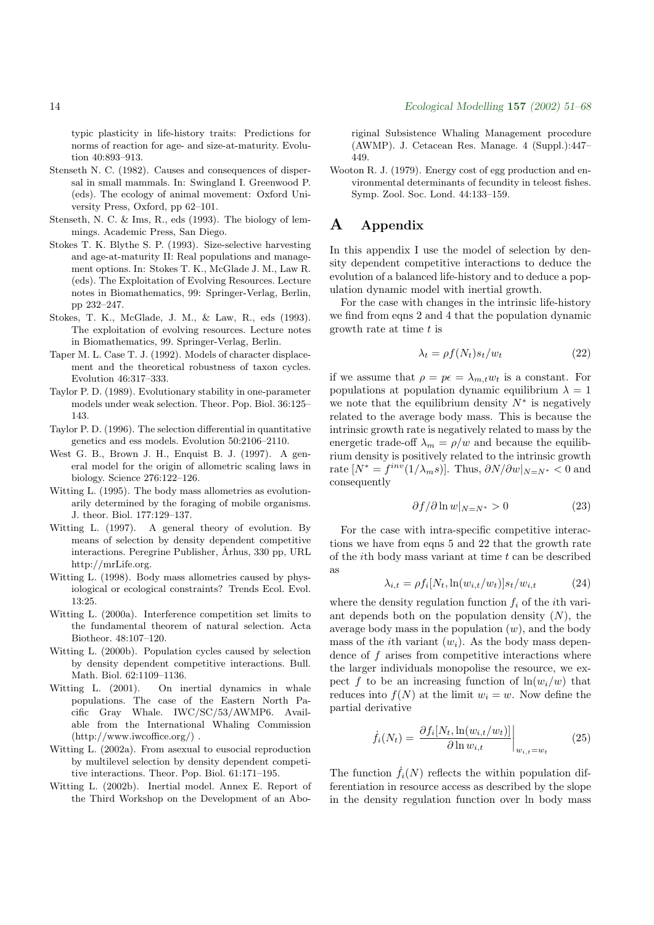typic plasticity in life-history traits: Predictions for norms of reaction for age- and size-at-maturity. Evolution 40:893–913.

- Stenseth N. C. (1982). Causes and consequences of dispersal in small mammals. In: Swingland I. Greenwood P. (eds). The ecology of animal movement: Oxford University Press, Oxford, pp 62–101.
- Stenseth, N. C. & Ims, R., eds (1993). The biology of lemmings. Academic Press, San Diego.
- Stokes T. K. Blythe S. P. (1993). Size-selective harvesting and age-at-maturity II: Real populations and management options. In: Stokes T. K., McGlade J. M., Law R. (eds). The Exploitation of Evolving Resources. Lecture notes in Biomathematics, 99: Springer-Verlag, Berlin, pp 232–247.
- Stokes, T. K., McGlade, J. M., & Law, R., eds (1993). The exploitation of evolving resources. Lecture notes in Biomathematics, 99. Springer-Verlag, Berlin.
- Taper M. L. Case T. J. (1992). Models of character displacement and the theoretical robustness of taxon cycles. Evolution 46:317–333.
- Taylor P. D. (1989). Evolutionary stability in one-parameter models under weak selection. Theor. Pop. Biol. 36:125– 143.
- Taylor P. D. (1996). The selection differential in quantitative genetics and ess models. Evolution 50:2106–2110.
- West G. B., Brown J. H., Enquist B. J. (1997). A general model for the origin of allometric scaling laws in biology. Science 276:122–126.
- Witting L. (1995). The body mass allometries as evolutionarily determined by the foraging of mobile organisms. J. theor. Biol. 177:129–137.
- Witting L. (1997). A general theory of evolution. By means of selection by density dependent competitive interactions. Peregrine Publisher, Århus, 330 pp, URL http://mrLife.org.
- Witting L. (1998). Body mass allometries caused by physiological or ecological constraints? Trends Ecol. Evol. 13:25.
- Witting L. (2000a). Interference competition set limits to the fundamental theorem of natural selection. Acta Biotheor. 48:107–120.
- Witting L. (2000b). Population cycles caused by selection by density dependent competitive interactions. Bull. Math. Biol. 62:1109–1136.
- Witting L. (2001). On inertial dynamics in whale populations. The case of the Eastern North Pacific Gray Whale. IWC/SC/53/AWMP6. Available from the International Whaling Commission (http://www.iwcoffice.org/) .
- Witting L. (2002a). From asexual to eusocial reproduction by multilevel selection by density dependent competitive interactions. Theor. Pop. Biol. 61:171–195.
- Witting L. (2002b). Inertial model. Annex E. Report of the Third Workshop on the Development of an Abo-

riginal Subsistence Whaling Management procedure (AWMP). J. Cetacean Res. Manage. 4 (Suppl.):447– 449.

Wooton R. J. (1979). Energy cost of egg production and environmental determinants of fecundity in teleost fishes. Symp. Zool. Soc. Lond. 44:133–159.

# A Appendix

In this appendix I use the model of selection by density dependent competitive interactions to deduce the evolution of a balanced life-history and to deduce a population dynamic model with inertial growth.

For the case with changes in the intrinsic life-history we find from eqns 2 and 4 that the population dynamic growth rate at time  $t$  is

$$
\lambda_t = \rho f(N_t) s_t / w_t \tag{22}
$$

if we assume that  $\rho = p\epsilon = \lambda_{m,t} w_t$  is a constant. For populations at population dynamic equilibrium  $\lambda = 1$ we note that the equilibrium density  $N^*$  is negatively related to the average body mass. This is because the intrinsic growth rate is negatively related to mass by the energetic trade-off  $\lambda_m = \rho/w$  and because the equilibrium density is positively related to the intrinsic growth rate  $[N^* = f^{inv}(1/\lambda_m s)]$ . Thus,  $\partial N/\partial w|_{N=N^*} < 0$  and consequently

$$
\partial f/\partial \ln w|_{N=N^*} > 0 \tag{23}
$$

For the case with intra-specific competitive interactions we have from eqns 5 and 22 that the growth rate of the *i*th body mass variant at time  $t$  can be described as

$$
\lambda_{i,t} = \rho f_i[N_t, \ln(w_{i,t}/w_t)]s_t/w_{i,t} \tag{24}
$$

where the density regulation function  $f_i$  of the *i*th variant depends both on the population density  $(N)$ , the average body mass in the population  $(w)$ , and the body mass of the *i*th variant  $(w_i)$ . As the body mass dependence of  $f$  arises from competitive interactions where the larger individuals monopolise the resource, we expect f to be an increasing function of  $ln(w_i/w)$  that reduces into  $f(N)$  at the limit  $w_i = w$ . Now define the partial derivative

$$
\dot{f}_i(N_t) = \left. \frac{\partial f_i[N_t, \ln(w_{i,t}/w_t)]}{\partial \ln w_{i,t}} \right|_{w_{i,t} = w_t}
$$
\n(25)

The function  $f_i(N)$  reflects the within population differentiation in resource access as described by the slope in the density regulation function over ln body mass